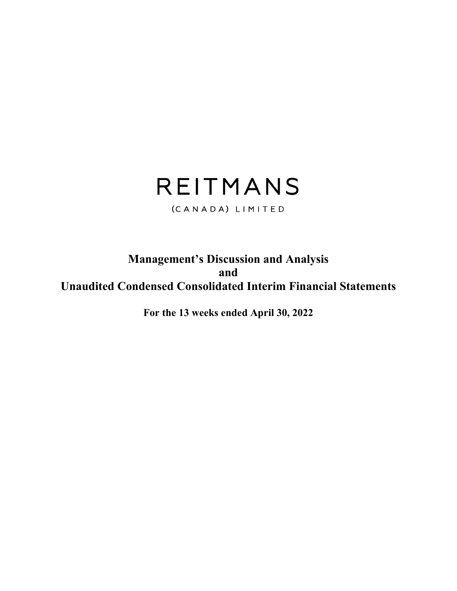# REITMANS

(CANADA) LIMITED

# **Management's Discussion and Analysis and Unaudited Condensed Consolidated Interim Financial Statements**

**For the 13 weeks ended April 30, 2022**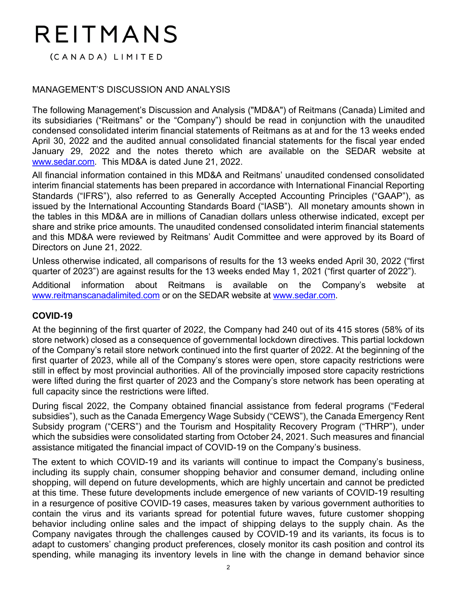# REITMANS

(CANADA) LIMITED

# MANAGEMENT'S DISCUSSION AND ANALYSIS

The following Management's Discussion and Analysis ("MD&A") of Reitmans (Canada) Limited and its subsidiaries ("Reitmans" or the "Company") should be read in conjunction with the unaudited condensed consolidated interim financial statements of Reitmans as at and for the 13 weeks ended April 30, 2022 and the audited annual consolidated financial statements for the fiscal year ended January 29, 2022 and the notes thereto which are available on the SEDAR website at www.sedar.com. This MD&A is dated June 21, 2022.

All financial information contained in this MD&A and Reitmans' unaudited condensed consolidated interim financial statements has been prepared in accordance with International Financial Reporting Standards ("IFRS"), also referred to as Generally Accepted Accounting Principles ("GAAP"), as issued by the International Accounting Standards Board ("IASB"). All monetary amounts shown in the tables in this MD&A are in millions of Canadian dollars unless otherwise indicated, except per share and strike price amounts. The unaudited condensed consolidated interim financial statements and this MD&A were reviewed by Reitmans' Audit Committee and were approved by its Board of Directors on June 21, 2022.

Unless otherwise indicated, all comparisons of results for the 13 weeks ended April 30, 2022 ("first quarter of 2023") are against results for the 13 weeks ended May 1, 2021 ("first quarter of 2022").

Additional information about Reitmans is available on the Company's website at www.reitmanscanadalimited.com or on the SEDAR website at www.sedar.com.

# **COVID-19**

At the beginning of the first quarter of 2022, the Company had 240 out of its 415 stores (58% of its store network) closed as a consequence of governmental lockdown directives. This partial lockdown of the Company's retail store network continued into the first quarter of 2022. At the beginning of the first quarter of 2023, while all of the Company's stores were open, store capacity restrictions were still in effect by most provincial authorities. All of the provincially imposed store capacity restrictions were lifted during the first quarter of 2023 and the Company's store network has been operating at full capacity since the restrictions were lifted.

During fiscal 2022, the Company obtained financial assistance from federal programs ("Federal subsidies"), such as the Canada Emergency Wage Subsidy ("CEWS"), the Canada Emergency Rent Subsidy program ("CERS") and the Tourism and Hospitality Recovery Program ("THRP"), under which the subsidies were consolidated starting from October 24, 2021. Such measures and financial assistance mitigated the financial impact of COVID-19 on the Company's business.

The extent to which COVID-19 and its variants will continue to impact the Company's business, including its supply chain, consumer shopping behavior and consumer demand, including online shopping, will depend on future developments, which are highly uncertain and cannot be predicted at this time. These future developments include emergence of new variants of COVID-19 resulting in a resurgence of positive COVID-19 cases, measures taken by various government authorities to contain the virus and its variants spread for potential future waves, future customer shopping behavior including online sales and the impact of shipping delays to the supply chain. As the Company navigates through the challenges caused by COVID-19 and its variants, its focus is to adapt to customers' changing product preferences, closely monitor its cash position and control its spending, while managing its inventory levels in line with the change in demand behavior since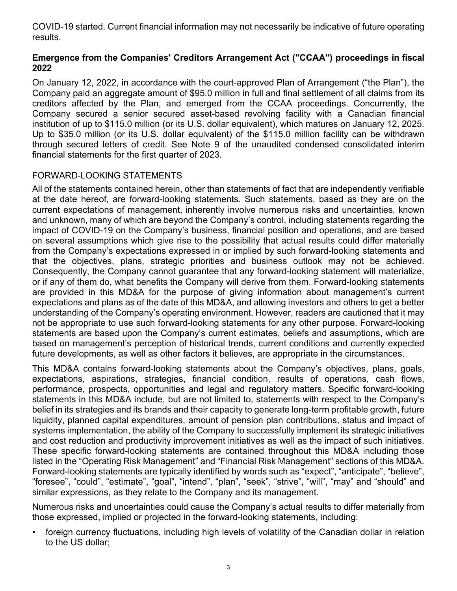COVID-19 started. Current financial information may not necessarily be indicative of future operating results.

# **Emergence from the Companies' Creditors Arrangement Act ("CCAA") proceedings in fiscal 2022**

On January 12, 2022, in accordance with the court-approved Plan of Arrangement ("the Plan"), the Company paid an aggregate amount of \$95.0 million in full and final settlement of all claims from its creditors affected by the Plan, and emerged from the CCAA proceedings. Concurrently, the Company secured a senior secured asset-based revolving facility with a Canadian financial institution of up to \$115.0 million (or its U.S. dollar equivalent), which matures on January 12, 2025. Up to \$35.0 million (or its U.S. dollar equivalent) of the \$115.0 million facility can be withdrawn through secured letters of credit. See Note 9 of the unaudited condensed consolidated interim financial statements for the first quarter of 2023.

# FORWARD-LOOKING STATEMENTS

All of the statements contained herein, other than statements of fact that are independently verifiable at the date hereof, are forward-looking statements. Such statements, based as they are on the current expectations of management, inherently involve numerous risks and uncertainties, known and unknown, many of which are beyond the Company's control, including statements regarding the impact of COVID-19 on the Company's business, financial position and operations, and are based on several assumptions which give rise to the possibility that actual results could differ materially from the Company's expectations expressed in or implied by such forward-looking statements and that the objectives, plans, strategic priorities and business outlook may not be achieved. Consequently, the Company cannot guarantee that any forward-looking statement will materialize, or if any of them do, what benefits the Company will derive from them. Forward-looking statements are provided in this MD&A for the purpose of giving information about management's current expectations and plans as of the date of this MD&A, and allowing investors and others to get a better understanding of the Company's operating environment. However, readers are cautioned that it may not be appropriate to use such forward-looking statements for any other purpose. Forward-looking statements are based upon the Company's current estimates, beliefs and assumptions, which are based on management's perception of historical trends, current conditions and currently expected future developments, as well as other factors it believes, are appropriate in the circumstances.

This MD&A contains forward-looking statements about the Company's objectives, plans, goals, expectations, aspirations, strategies, financial condition, results of operations, cash flows, performance, prospects, opportunities and legal and regulatory matters. Specific forward-looking statements in this MD&A include, but are not limited to, statements with respect to the Company's belief in its strategies and its brands and their capacity to generate long-term profitable growth, future liquidity, planned capital expenditures, amount of pension plan contributions, status and impact of systems implementation, the ability of the Company to successfully implement its strategic initiatives and cost reduction and productivity improvement initiatives as well as the impact of such initiatives. These specific forward-looking statements are contained throughout this MD&A including those listed in the "Operating Risk Management" and "Financial Risk Management" sections of this MD&A. Forward-looking statements are typically identified by words such as "expect", "anticipate", "believe", "foresee", "could", "estimate", "goal", "intend", "plan", "seek", "strive", "will", "may" and "should" and similar expressions, as they relate to the Company and its management.

Numerous risks and uncertainties could cause the Company's actual results to differ materially from those expressed, implied or projected in the forward-looking statements, including:

• foreign currency fluctuations, including high levels of volatility of the Canadian dollar in relation to the US dollar;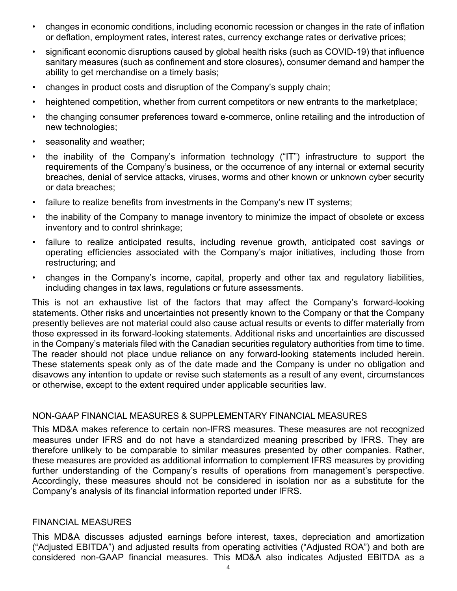- changes in economic conditions, including economic recession or changes in the rate of inflation or deflation, employment rates, interest rates, currency exchange rates or derivative prices;
- significant economic disruptions caused by global health risks (such as COVID-19) that influence sanitary measures (such as confinement and store closures), consumer demand and hamper the ability to get merchandise on a timely basis;
- changes in product costs and disruption of the Company's supply chain;
- heightened competition, whether from current competitors or new entrants to the marketplace;
- the changing consumer preferences toward e-commerce, online retailing and the introduction of new technologies;
- seasonality and weather;
- the inability of the Company's information technology ("IT") infrastructure to support the requirements of the Company's business, or the occurrence of any internal or external security breaches, denial of service attacks, viruses, worms and other known or unknown cyber security or data breaches;
- failure to realize benefits from investments in the Company's new IT systems;
- the inability of the Company to manage inventory to minimize the impact of obsolete or excess inventory and to control shrinkage;
- failure to realize anticipated results, including revenue growth, anticipated cost savings or operating efficiencies associated with the Company's major initiatives, including those from restructuring; and
- changes in the Company's income, capital, property and other tax and regulatory liabilities, including changes in tax laws, regulations or future assessments.

This is not an exhaustive list of the factors that may affect the Company's forward-looking statements. Other risks and uncertainties not presently known to the Company or that the Company presently believes are not material could also cause actual results or events to differ materially from those expressed in its forward-looking statements. Additional risks and uncertainties are discussed in the Company's materials filed with the Canadian securities regulatory authorities from time to time. The reader should not place undue reliance on any forward-looking statements included herein. These statements speak only as of the date made and the Company is under no obligation and disavows any intention to update or revise such statements as a result of any event, circumstances or otherwise, except to the extent required under applicable securities law.

# NON-GAAP FINANCIAL MEASURES & SUPPLEMENTARY FINANCIAL MEASURES

This MD&A makes reference to certain non-IFRS measures. These measures are not recognized measures under IFRS and do not have a standardized meaning prescribed by IFRS. They are therefore unlikely to be comparable to similar measures presented by other companies. Rather, these measures are provided as additional information to complement IFRS measures by providing further understanding of the Company's results of operations from management's perspective. Accordingly, these measures should not be considered in isolation nor as a substitute for the Company's analysis of its financial information reported under IFRS.

#### FINANCIAL MEASURES

This MD&A discusses adjusted earnings before interest, taxes, depreciation and amortization ("Adjusted EBITDA") and adjusted results from operating activities ("Adjusted ROA") and both are considered non-GAAP financial measures. This MD&A also indicates Adjusted EBITDA as a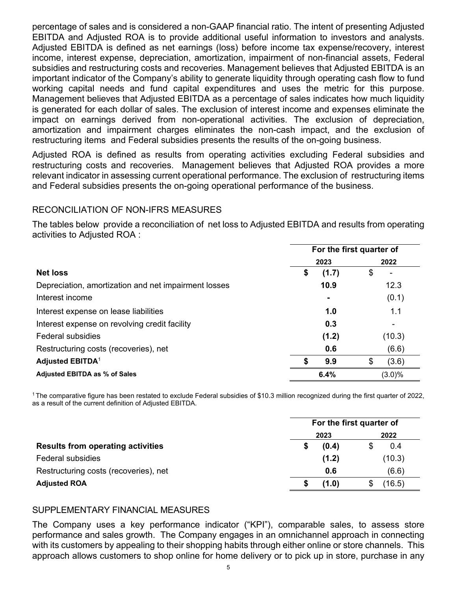percentage of sales and is considered a non-GAAP financial ratio. The intent of presenting Adjusted EBITDA and Adjusted ROA is to provide additional useful information to investors and analysts. Adjusted EBITDA is defined as net earnings (loss) before income tax expense/recovery, interest income, interest expense, depreciation, amortization, impairment of non-financial assets, Federal subsidies and restructuring costs and recoveries. Management believes that Adjusted EBITDA is an important indicator of the Company's ability to generate liquidity through operating cash flow to fund working capital needs and fund capital expenditures and uses the metric for this purpose. Management believes that Adjusted EBITDA as a percentage of sales indicates how much liquidity is generated for each dollar of sales. The exclusion of interest income and expenses eliminate the impact on earnings derived from non-operational activities. The exclusion of depreciation, amortization and impairment charges eliminates the non-cash impact, and the exclusion of restructuring items and Federal subsidies presents the results of the on-going business.

Adjusted ROA is defined as results from operating activities excluding Federal subsidies and restructuring costs and recoveries. Management believes that Adjusted ROA provides a more relevant indicator in assessing current operational performance. The exclusion of restructuring items and Federal subsidies presents the on-going operational performance of the business.

# RECONCILIATION OF NON-IFRS MEASURES

The tables below provide a reconciliation of net loss to Adjusted EBITDA and results from operating activities to Adjusted ROA :

|                                                      | For the first quarter of |             |  |  |  |
|------------------------------------------------------|--------------------------|-------------|--|--|--|
|                                                      | 2023                     | 2022        |  |  |  |
| <b>Net loss</b>                                      | (1.7)<br>\$              | \$          |  |  |  |
| Depreciation, amortization and net impairment losses | 10.9                     | 12.3        |  |  |  |
| Interest income                                      | $\blacksquare$           | (0.1)       |  |  |  |
| Interest expense on lease liabilities                | 1.0                      | 1.1         |  |  |  |
| Interest expense on revolving credit facility        | 0.3                      |             |  |  |  |
| <b>Federal subsidies</b>                             | (1.2)                    | (10.3)      |  |  |  |
| Restructuring costs (recoveries), net                | 0.6                      | (6.6)       |  |  |  |
| <b>Adjusted EBITDA<sup>1</sup></b>                   | 9.9                      | \$<br>(3.6) |  |  |  |
| <b>Adjusted EBITDA as % of Sales</b>                 | 6.4%                     | $(3.0)\%$   |  |  |  |

1 The comparative figure has been restated to exclude Federal subsidies of \$10.3 million recognized during the first quarter of 2022, as a result of the current definition of Adjusted EBITDA.

|                                          |       | For the first quarter of |
|------------------------------------------|-------|--------------------------|
|                                          | 2023  | 2022                     |
| <b>Results from operating activities</b> | (0.4) | 0.4                      |
| <b>Federal subsidies</b>                 | (1.2) | (10.3)                   |
| Restructuring costs (recoveries), net    | 0.6   | (6.6)                    |
| <b>Adjusted ROA</b>                      | (1.0) | 16.5)                    |

# SUPPLEMENTARY FINANCIAL MEASURES

The Company uses a key performance indicator ("KPI"), comparable sales, to assess store performance and sales growth. The Company engages in an omnichannel approach in connecting with its customers by appealing to their shopping habits through either online or store channels. This approach allows customers to shop online for home delivery or to pick up in store, purchase in any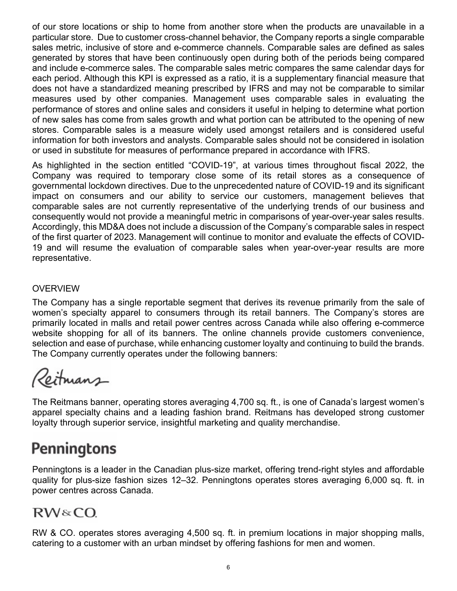of our store locations or ship to home from another store when the products are unavailable in a particular store. Due to customer cross-channel behavior, the Company reports a single comparable sales metric, inclusive of store and e-commerce channels. Comparable sales are defined as sales generated by stores that have been continuously open during both of the periods being compared and include e-commerce sales. The comparable sales metric compares the same calendar days for each period. Although this KPI is expressed as a ratio, it is a supplementary financial measure that does not have a standardized meaning prescribed by IFRS and may not be comparable to similar measures used by other companies. Management uses comparable sales in evaluating the performance of stores and online sales and considers it useful in helping to determine what portion of new sales has come from sales growth and what portion can be attributed to the opening of new stores. Comparable sales is a measure widely used amongst retailers and is considered useful information for both investors and analysts. Comparable sales should not be considered in isolation or used in substitute for measures of performance prepared in accordance with IFRS.

As highlighted in the section entitled "COVID-19", at various times throughout fiscal 2022, the Company was required to temporary close some of its retail stores as a consequence of governmental lockdown directives. Due to the unprecedented nature of COVID-19 and its significant impact on consumers and our ability to service our customers, management believes that comparable sales are not currently representative of the underlying trends of our business and consequently would not provide a meaningful metric in comparisons of year-over-year sales results. Accordingly, this MD&A does not include a discussion of the Company's comparable sales in respect of the first quarter of 2023. Management will continue to monitor and evaluate the effects of COVID-19 and will resume the evaluation of comparable sales when year-over-year results are more representative.

# **OVERVIEW**

The Company has a single reportable segment that derives its revenue primarily from the sale of women's specialty apparel to consumers through its retail banners. The Company's stores are primarily located in malls and retail power centres across Canada while also offering e-commerce website shopping for all of its banners. The online channels provide customers convenience, selection and ease of purchase, while enhancing customer loyalty and continuing to build the brands. The Company currently operates under the following banners:

Reitmans

The Reitmans banner, operating stores averaging 4,700 sq. ft., is one of Canada's largest women's apparel specialty chains and a leading fashion brand. Reitmans has developed strong customer loyalty through superior service, insightful marketing and quality merchandise.

# **Penningtons**

Penningtons is a leader in the Canadian plus-size market, offering trend-right styles and affordable quality for plus-size fashion sizes 12–32. Penningtons operates stores averaging 6,000 sq. ft. in power centres across Canada.

# RW&CO.

RW & CO. operates stores averaging 4,500 sq. ft. in premium locations in major shopping malls, catering to a customer with an urban mindset by offering fashions for men and women.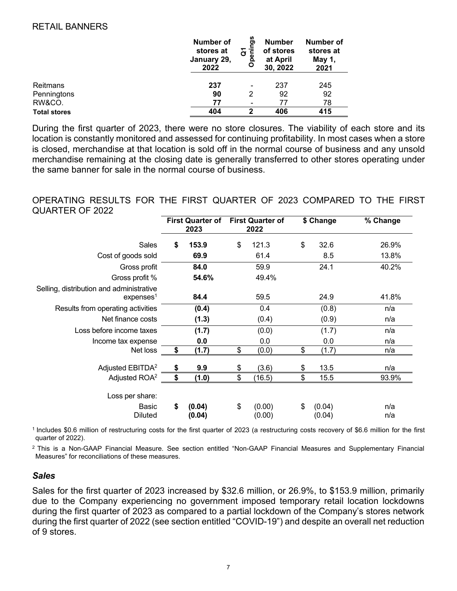# RETAIL BANNERS

|                     | <b>Number of</b><br>stores at<br>January 29,<br>2022 | ဖာ<br>ත<br>ភូ ខ្លី | <b>Number</b><br>of stores<br>at April<br>30, 2022 | Number of<br>stores at<br>May 1,<br>2021 |
|---------------------|------------------------------------------------------|--------------------|----------------------------------------------------|------------------------------------------|
| Reitmans            | 237                                                  |                    | 237                                                | 245                                      |
| Penningtons         | 90                                                   | -<br>2             | 92                                                 | 92                                       |
| RW&CO.              | 77                                                   | $\blacksquare$     | 77                                                 | 78                                       |
| <b>Total stores</b> | 404                                                  | 2                  | 406                                                | 415                                      |

During the first quarter of 2023, there were no store closures. The viability of each store and its location is constantly monitored and assessed for continuing profitability. In most cases when a store is closed, merchandise at that location is sold off in the normal course of business and any unsold merchandise remaining at the closing date is generally transferred to other stores operating under the same banner for sale in the normal course of business.

# OPERATING RESULTS FOR THE FIRST QUARTER OF 2023 COMPARED TO THE FIRST QUARTER OF 2022

|                                                                   | <b>First Quarter of</b><br>2023 |                  | <b>First Quarter of</b><br>2022 | \$ Change              | % Change   |  |
|-------------------------------------------------------------------|---------------------------------|------------------|---------------------------------|------------------------|------------|--|
| Sales                                                             | \$                              | 153.9            | \$<br>121.3                     | \$<br>32.6             | 26.9%      |  |
| Cost of goods sold                                                |                                 | 69.9             | 61.4                            | 8.5                    | 13.8%      |  |
| Gross profit                                                      |                                 | 84.0             | 59.9                            | 24.1                   | 40.2%      |  |
| Gross profit %                                                    |                                 | 54.6%            | 49.4%                           |                        |            |  |
| Selling, distribution and administrative<br>expenses <sup>1</sup> |                                 | 84.4             | 59.5                            | 24.9                   | 41.8%      |  |
| Results from operating activities                                 |                                 | (0.4)            | 0.4                             | (0.8)                  | n/a        |  |
| Net finance costs                                                 |                                 | (1.3)            | (0.4)                           | (0.9)                  | n/a        |  |
| Loss before income taxes                                          |                                 | (1.7)            | (0.0)                           | (1.7)                  | n/a        |  |
| Income tax expense                                                |                                 | 0.0              | 0.0                             | 0.0                    | n/a        |  |
| Net loss                                                          | \$                              | (1.7)            | \$<br>(0.0)                     | \$<br>(1.7)            | n/a        |  |
| Adjusted EBITDA <sup>2</sup>                                      | \$                              | 9.9              | \$<br>(3.6)                     | \$<br>13.5             | n/a        |  |
| Adjusted ROA <sup>2</sup>                                         | \$                              | (1.0)            | \$<br>(16.5)                    | \$<br>15.5             | 93.9%      |  |
| Loss per share:                                                   |                                 |                  |                                 |                        |            |  |
| Basic<br><b>Diluted</b>                                           | \$                              | (0.04)<br>(0.04) | \$<br>(0.00)<br>(0.00)          | \$<br>(0.04)<br>(0.04) | n/a<br>n/a |  |

1 Includes \$0.6 million of restructuring costs for the first quarter of 2023 (a restructuring costs recovery of \$6.6 million for the first quarter of 2022).

2 This is a Non-GAAP Financial Measure. See section entitled "Non-GAAP Financial Measures and Supplementary Financial Measures" for reconciliations of these measures.

# *Sales*

Sales for the first quarter of 2023 increased by \$32.6 million, or 26.9%, to \$153.9 million, primarily due to the Company experiencing no government imposed temporary retail location lockdowns during the first quarter of 2023 as compared to a partial lockdown of the Company's stores network during the first quarter of 2022 (see section entitled "COVID-19") and despite an overall net reduction of 9 stores.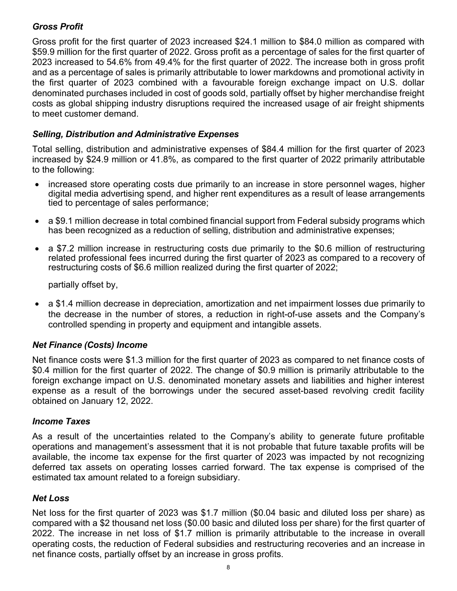# *Gross Profit*

Gross profit for the first quarter of 2023 increased \$24.1 million to \$84.0 million as compared with \$59.9 million for the first quarter of 2022. Gross profit as a percentage of sales for the first quarter of 2023 increased to 54.6% from 49.4% for the first quarter of 2022. The increase both in gross profit and as a percentage of sales is primarily attributable to lower markdowns and promotional activity in the first quarter of 2023 combined with a favourable foreign exchange impact on U.S. dollar denominated purchases included in cost of goods sold, partially offset by higher merchandise freight costs as global shipping industry disruptions required the increased usage of air freight shipments to meet customer demand.

# *Selling, Distribution and Administrative Expenses*

Total selling, distribution and administrative expenses of \$84.4 million for the first quarter of 2023 increased by \$24.9 million or 41.8%, as compared to the first quarter of 2022 primarily attributable to the following:

- increased store operating costs due primarily to an increase in store personnel wages, higher digital media advertising spend, and higher rent expenditures as a result of lease arrangements tied to percentage of sales performance;
- a \$9.1 million decrease in total combined financial support from Federal subsidy programs which has been recognized as a reduction of selling, distribution and administrative expenses;
- a \$7.2 million increase in restructuring costs due primarily to the \$0.6 million of restructuring related professional fees incurred during the first quarter of 2023 as compared to a recovery of restructuring costs of \$6.6 million realized during the first quarter of 2022;

partially offset by,

 a \$1.4 million decrease in depreciation, amortization and net impairment losses due primarily to the decrease in the number of stores, a reduction in right-of-use assets and the Company's controlled spending in property and equipment and intangible assets.

# *Net Finance (Costs) Income*

Net finance costs were \$1.3 million for the first quarter of 2023 as compared to net finance costs of \$0.4 million for the first quarter of 2022. The change of \$0.9 million is primarily attributable to the foreign exchange impact on U.S. denominated monetary assets and liabilities and higher interest expense as a result of the borrowings under the secured asset-based revolving credit facility obtained on January 12, 2022.

# *Income Taxes*

As a result of the uncertainties related to the Company's ability to generate future profitable operations and management's assessment that it is not probable that future taxable profits will be available, the income tax expense for the first quarter of 2023 was impacted by not recognizing deferred tax assets on operating losses carried forward. The tax expense is comprised of the estimated tax amount related to a foreign subsidiary.

# *Net Loss*

Net loss for the first quarter of 2023 was \$1.7 million (\$0.04 basic and diluted loss per share) as compared with a \$2 thousand net loss (\$0.00 basic and diluted loss per share) for the first quarter of 2022. The increase in net loss of \$1.7 million is primarily attributable to the increase in overall operating costs, the reduction of Federal subsidies and restructuring recoveries and an increase in net finance costs, partially offset by an increase in gross profits.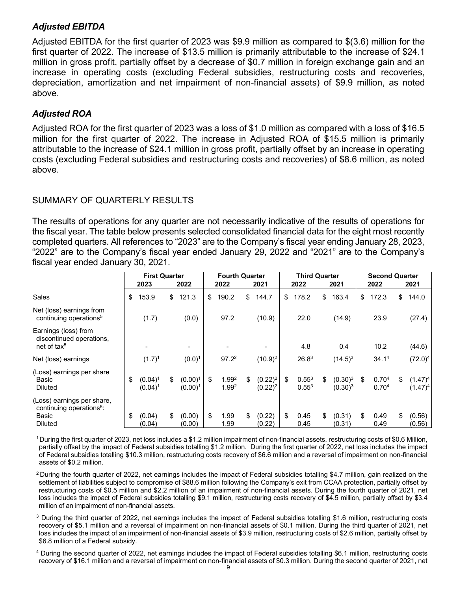# *Adjusted EBITDA*

Adjusted EBITDA for the first quarter of 2023 was \$9.9 million as compared to \$(3.6) million for the first quarter of 2022. The increase of \$13.5 million is primarily attributable to the increase of \$24.1 million in gross profit, partially offset by a decrease of \$0.7 million in foreign exchange gain and an increase in operating costs (excluding Federal subsidies, restructuring costs and recoveries, depreciation, amortization and net impairment of non-financial assets) of \$9.9 million, as noted above.

# *Adjusted ROA*

Adjusted ROA for the first quarter of 2023 was a loss of \$1.0 million as compared with a loss of \$16.5 million for the first quarter of 2022. The increase in Adjusted ROA of \$15.5 million is primarily attributable to the increase of \$24.1 million in gross profit, partially offset by an increase in operating costs (excluding Federal subsidies and restructuring costs and recoveries) of \$8.6 million, as noted above.

# SUMMARY OF QUARTERLY RESULTS

The results of operations for any quarter are not necessarily indicative of the results of operations for the fiscal year. The table below presents selected consolidated financial data for the eight most recently completed quarters. All references to "2023" are to the Company's fiscal year ending January 28, 2023, "2022" are to the Company's fiscal year ended January 29, 2022 and "2021" are to the Company's fiscal year ended January 30, 2021.

|                                                                                               | <b>First Quarter</b>           |                                | <b>Fourth Quarter</b> |                            | <b>Third Quarter</b>           |    |                          |    | <b>Second Quarter</b>    |    |                                        |    |                          |
|-----------------------------------------------------------------------------------------------|--------------------------------|--------------------------------|-----------------------|----------------------------|--------------------------------|----|--------------------------|----|--------------------------|----|----------------------------------------|----|--------------------------|
|                                                                                               | 2023                           | 2022                           |                       | 2022                       | 2021                           |    | 2022                     |    | 2021                     |    | 2022                                   |    | 2021                     |
| Sales                                                                                         | \$<br>153.9                    | \$<br>121.3                    | \$                    | 190.2                      | \$<br>144.7                    | \$ | 178.2                    | \$ | 163.4                    | \$ | 172.3                                  | \$ | 144.0                    |
| Net (loss) earnings from<br>continuing operations <sup>5</sup>                                | (1.7)                          | (0.0)                          |                       | 97.2                       | (10.9)                         |    | 22.0                     |    | (14.9)                   |    | 23.9                                   |    | (27.4)                   |
| Earnings (loss) from<br>discontinued operations,<br>net of tax <sup>5</sup>                   |                                |                                |                       |                            |                                |    | 4.8                      |    | 0.4                      |    | 10.2                                   |    | (44.6)                   |
| Net (loss) earnings                                                                           | $(1.7)^1$                      | $(0.0)^1$                      |                       | $97.2^2$                   | $(10.9)^2$                     |    | 26.8 <sup>3</sup>        |    | $(14.5)^3$               |    | 34.1 <sup>4</sup>                      |    | $(72.0)^4$               |
| (Loss) earnings per share<br>Basic<br><b>Diluted</b>                                          | \$<br>$(0.04)^1$<br>$(0.04)^1$ | \$<br>$(0.00)^1$<br>$(0.00)^1$ | \$                    | 1.99 <sup>2</sup><br>1.992 | \$<br>$(0.22)^2$<br>$(0.22)^2$ | \$ | $0.55^{3}$<br>$0.55^{3}$ | \$ | $(0.30)^3$<br>$(0.30)^3$ | \$ | 0.70 <sup>4</sup><br>0.70 <sup>4</sup> | \$ | $(1.47)^4$<br>$(1.47)^4$ |
| (Loss) earnings per share,<br>continuing operations <sup>5</sup> :<br>Basic<br><b>Diluted</b> | \$<br>(0.04)<br>(0.04)         | \$<br>(0.00)<br>(0.00)         | \$                    | 1.99<br>1.99               | \$<br>(0.22)<br>(0.22)         | \$ | 0.45<br>0.45             | \$ | (0.31)<br>(0.31)         | \$ | 0.49<br>0.49                           | \$ | (0.56)<br>(0.56)         |

1 During the first quarter of 2023, net loss includes a \$1.2 million impairment of non-financial assets, restructuring costs of \$0.6 Million, partially offset by the impact of Federal subsidies totalling \$1.2 million. During the first quarter of 2022, net loss includes the impact of Federal subsidies totalling \$10.3 million, restructuring costs recovery of \$6.6 million and a reversal of impairment on non-financial assets of \$0.2 million.

<sup>2</sup> During the fourth quarter of 2022, net earnings includes the impact of Federal subsidies totalling \$4.7 million, gain realized on the settlement of liabilities subject to compromise of \$88.6 million following the Company's exit from CCAA protection, partially offset by restructuring costs of \$0.5 million and \$2.2 million of an impairment of non-financial assets. During the fourth quarter of 2021, net loss includes the impact of Federal subsidies totalling \$9.1 million, restructuring costs recovery of \$4.5 million, partially offset by \$3.4 million of an impairment of non-financial assets.

 $3$  During the third quarter of 2022, net earnings includes the impact of Federal subsidies totalling \$1.6 million, restructuring costs recovery of \$5.1 million and a reversal of impairment on non-financial assets of \$0.1 million. During the third quarter of 2021, net loss includes the impact of an impairment of non-financial assets of \$3.9 million, restructuring costs of \$2.6 million, partially offset by \$6.8 million of a Federal subsidy.

4 During the second quarter of 2022, net earnings includes the impact of Federal subsidies totalling \$6.1 million, restructuring costs recovery of \$16.1 million and a reversal of impairment on non-financial assets of \$0.3 million. During the second quarter of 2021, net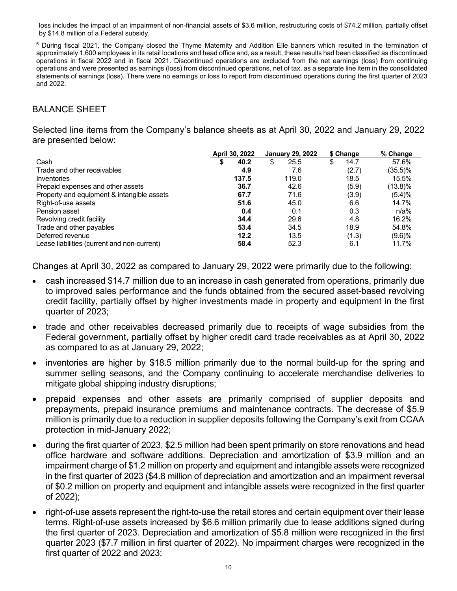loss includes the impact of an impairment of non-financial assets of \$3.6 million, restructuring costs of \$74.2 million, partially offset by \$14.8 million of a Federal subsidy.

5 During fiscal 2021, the Company closed the Thyme Maternity and Addition Elle banners which resulted in the termination of approximately 1,600 employees in its retail locations and head office and, as a result, these results had been classified as discontinued operations in fiscal 2022 and in fiscal 2021. Discontinued operations are excluded from the net earnings (loss) from continuing operations and were presented as earnings (loss) from discontinued operations, net of tax, as a separate line item in the consolidated statements of earnings (loss). There were no earnings or loss to report from discontinued operations during the first quarter of 2023 and 2022.

# BALANCE SHEET

Selected line items from the Company's balance sheets as at April 30, 2022 and January 29, 2022 are presented below:

|                                             | April 30, 2022 | <b>January 29, 2022</b> | \$ Change  | % Change   |
|---------------------------------------------|----------------|-------------------------|------------|------------|
| Cash                                        | 40.2<br>D      | 25.5<br>\$              | 14.7<br>\$ | 57.6%      |
| Trade and other receivables                 | 4.9            | 7.6                     | (2.7)      | $(35.5)\%$ |
| Inventories                                 | 137.5          | 119.0                   | 18.5       | 15.5%      |
| Prepaid expenses and other assets           | 36.7           | 42.6                    | (5.9)      | (13.8)%    |
| Property and equipment & intangible assets  | 67.7           | 71.6                    | (3.9)      | (5.4)%     |
| Right-of-use assets                         | 51.6           | 45.0                    | 6.6        | 14.7%      |
| Pension asset                               | 0.4            | 0.1                     | 0.3        | n/a%       |
| Revolving credit facility                   | 34.4           | 29.6                    | 4.8        | 16.2%      |
| Trade and other payables                    | 53.4           | 34.5                    | 18.9       | 54.8%      |
| Deferred revenue                            | 12.2           | 13.5                    | (1.3)      | (9.6)%     |
| Lease liabilities (current and non-current) | 58.4           | 52.3                    | 6.1        | 11.7%      |

Changes at April 30, 2022 as compared to January 29, 2022 were primarily due to the following:

- cash increased \$14.7 million due to an increase in cash generated from operations, primarily due to improved sales performance and the funds obtained from the secured asset-based revolving credit facility, partially offset by higher investments made in property and equipment in the first quarter of 2023;
- trade and other receivables decreased primarily due to receipts of wage subsidies from the Federal government, partially offset by higher credit card trade receivables as at April 30, 2022 as compared to as at January 29, 2022;
- inventories are higher by \$18.5 million primarily due to the normal build-up for the spring and summer selling seasons, and the Company continuing to accelerate merchandise deliveries to mitigate global shipping industry disruptions;
- prepaid expenses and other assets are primarily comprised of supplier deposits and prepayments, prepaid insurance premiums and maintenance contracts. The decrease of \$5.9 million is primarily due to a reduction in supplier deposits following the Company's exit from CCAA protection in mid-January 2022;
- during the first quarter of 2023, \$2.5 million had been spent primarily on store renovations and head office hardware and software additions. Depreciation and amortization of \$3.9 million and an impairment charge of \$1.2 million on property and equipment and intangible assets were recognized in the first quarter of 2023 (\$4.8 million of depreciation and amortization and an impairment reversal of \$0.2 million on property and equipment and intangible assets were recognized in the first quarter of 2022);
- right-of-use assets represent the right-to-use the retail stores and certain equipment over their lease terms. Right-of-use assets increased by \$6.6 million primarily due to lease additions signed during the first quarter of 2023. Depreciation and amortization of \$5.8 million were recognized in the first quarter 2023 (\$7.7 million in first quarter of 2022). No impairment charges were recognized in the first quarter of 2022 and 2023;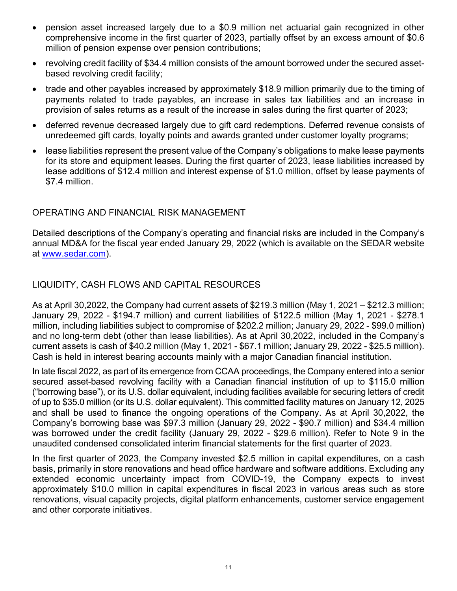- pension asset increased largely due to a \$0.9 million net actuarial gain recognized in other comprehensive income in the first quarter of 2023, partially offset by an excess amount of \$0.6 million of pension expense over pension contributions;
- revolving credit facility of \$34.4 million consists of the amount borrowed under the secured assetbased revolving credit facility;
- trade and other payables increased by approximately \$18.9 million primarily due to the timing of payments related to trade payables, an increase in sales tax liabilities and an increase in provision of sales returns as a result of the increase in sales during the first quarter of 2023;
- deferred revenue decreased largely due to gift card redemptions. Deferred revenue consists of unredeemed gift cards, loyalty points and awards granted under customer loyalty programs;
- lease liabilities represent the present value of the Company's obligations to make lease payments for its store and equipment leases. During the first quarter of 2023, lease liabilities increased by lease additions of \$12.4 million and interest expense of \$1.0 million, offset by lease payments of \$7.4 million.

# OPERATING AND FINANCIAL RISK MANAGEMENT

Detailed descriptions of the Company's operating and financial risks are included in the Company's annual MD&A for the fiscal year ended January 29, 2022 (which is available on the SEDAR website at www.sedar.com).

# LIQUIDITY, CASH FLOWS AND CAPITAL RESOURCES

As at April 30,2022, the Company had current assets of \$219.3 million (May 1, 2021 – \$212.3 million; January 29, 2022 - \$194.7 million) and current liabilities of \$122.5 million (May 1, 2021 - \$278.1 million, including liabilities subject to compromise of \$202.2 million; January 29, 2022 - \$99.0 million) and no long-term debt (other than lease liabilities). As at April 30,2022, included in the Company's current assets is cash of \$40.2 million (May 1, 2021 - \$67.1 million; January 29, 2022 - \$25.5 million). Cash is held in interest bearing accounts mainly with a major Canadian financial institution.

In late fiscal 2022, as part of its emergence from CCAA proceedings, the Company entered into a senior secured asset-based revolving facility with a Canadian financial institution of up to \$115.0 million ("borrowing base"), or its U.S. dollar equivalent, including facilities available for securing letters of credit of up to \$35.0 million (or its U.S. dollar equivalent). This committed facility matures on January 12, 2025 and shall be used to finance the ongoing operations of the Company. As at April 30,2022, the Company's borrowing base was \$97.3 million (January 29, 2022 - \$90.7 million) and \$34.4 million was borrowed under the credit facility (January 29, 2022 - \$29.6 million). Refer to Note 9 in the unaudited condensed consolidated interim financial statements for the first quarter of 2023.

In the first quarter of 2023, the Company invested \$2.5 million in capital expenditures, on a cash basis, primarily in store renovations and head office hardware and software additions. Excluding any extended economic uncertainty impact from COVID-19, the Company expects to invest approximately \$10.0 million in capital expenditures in fiscal 2023 in various areas such as store renovations, visual capacity projects, digital platform enhancements, customer service engagement and other corporate initiatives.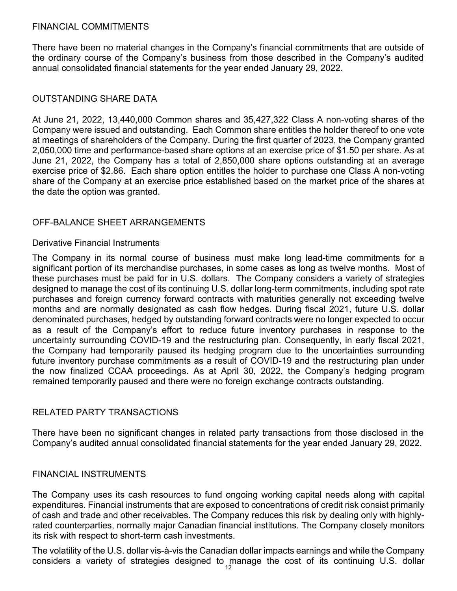# FINANCIAL COMMITMENTS

There have been no material changes in the Company's financial commitments that are outside of the ordinary course of the Company's business from those described in the Company's audited annual consolidated financial statements for the year ended January 29, 2022.

# OUTSTANDING SHARE DATA

At June 21, 2022, 13,440,000 Common shares and 35,427,322 Class A non-voting shares of the Company were issued and outstanding. Each Common share entitles the holder thereof to one vote at meetings of shareholders of the Company. During the first quarter of 2023, the Company granted 2,050,000 time and performance-based share options at an exercise price of \$1.50 per share. As at June 21, 2022, the Company has a total of 2,850,000 share options outstanding at an average exercise price of \$2.86. Each share option entitles the holder to purchase one Class A non-voting share of the Company at an exercise price established based on the market price of the shares at the date the option was granted.

### OFF-BALANCE SHEET ARRANGEMENTS

### Derivative Financial Instruments

The Company in its normal course of business must make long lead-time commitments for a significant portion of its merchandise purchases, in some cases as long as twelve months. Most of these purchases must be paid for in U.S. dollars. The Company considers a variety of strategies designed to manage the cost of its continuing U.S. dollar long-term commitments, including spot rate purchases and foreign currency forward contracts with maturities generally not exceeding twelve months and are normally designated as cash flow hedges. During fiscal 2021, future U.S. dollar denominated purchases, hedged by outstanding forward contracts were no longer expected to occur as a result of the Company's effort to reduce future inventory purchases in response to the uncertainty surrounding COVID-19 and the restructuring plan. Consequently, in early fiscal 2021, the Company had temporarily paused its hedging program due to the uncertainties surrounding future inventory purchase commitments as a result of COVID-19 and the restructuring plan under the now finalized CCAA proceedings. As at April 30, 2022, the Company's hedging program remained temporarily paused and there were no foreign exchange contracts outstanding.

# RELATED PARTY TRANSACTIONS

There have been no significant changes in related party transactions from those disclosed in the Company's audited annual consolidated financial statements for the year ended January 29, 2022.

# FINANCIAL INSTRUMENTS

The Company uses its cash resources to fund ongoing working capital needs along with capital expenditures. Financial instruments that are exposed to concentrations of credit risk consist primarily of cash and trade and other receivables. The Company reduces this risk by dealing only with highlyrated counterparties, normally major Canadian financial institutions. The Company closely monitors its risk with respect to short-term cash investments.

The volatility of the U.S. dollar vis-à-vis the Canadian dollar impacts earnings and while the Company considers a variety of strategies designed to manage the cost of its continuing U.S. dollar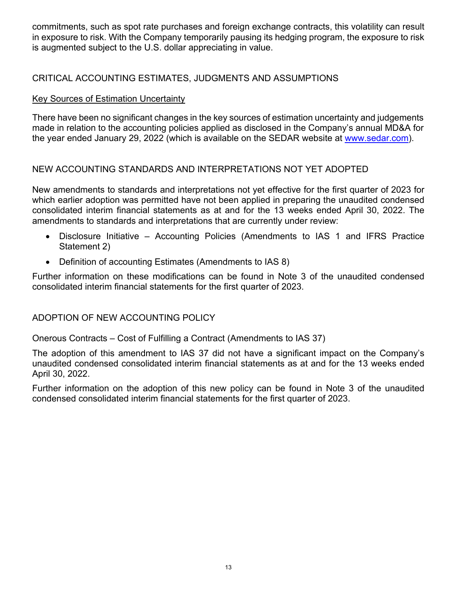commitments, such as spot rate purchases and foreign exchange contracts, this volatility can result in exposure to risk. With the Company temporarily pausing its hedging program, the exposure to risk is augmented subject to the U.S. dollar appreciating in value.

# CRITICAL ACCOUNTING ESTIMATES, JUDGMENTS AND ASSUMPTIONS

# Key Sources of Estimation Uncertainty

There have been no significant changes in the key sources of estimation uncertainty and judgements made in relation to the accounting policies applied as disclosed in the Company's annual MD&A for the year ended January 29, 2022 (which is available on the SEDAR website at www.sedar.com).

# NEW ACCOUNTING STANDARDS AND INTERPRETATIONS NOT YET ADOPTED

New amendments to standards and interpretations not yet effective for the first quarter of 2023 for which earlier adoption was permitted have not been applied in preparing the unaudited condensed consolidated interim financial statements as at and for the 13 weeks ended April 30, 2022. The amendments to standards and interpretations that are currently under review:

- Disclosure Initiative Accounting Policies (Amendments to IAS 1 and IFRS Practice Statement 2)
- Definition of accounting Estimates (Amendments to IAS 8)

Further information on these modifications can be found in Note 3 of the unaudited condensed consolidated interim financial statements for the first quarter of 2023.

# ADOPTION OF NEW ACCOUNTING POLICY

Onerous Contracts – Cost of Fulfilling a Contract (Amendments to IAS 37)

The adoption of this amendment to IAS 37 did not have a significant impact on the Company's unaudited condensed consolidated interim financial statements as at and for the 13 weeks ended April 30, 2022.

Further information on the adoption of this new policy can be found in Note 3 of the unaudited condensed consolidated interim financial statements for the first quarter of 2023.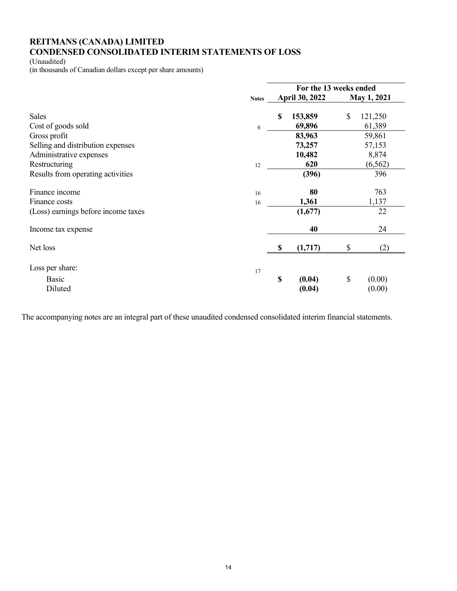# **REITMANS (CANADA) LIMITED CONDENSED CONSOLIDATED INTERIM STATEMENTS OF LOSS**

(Unaudited)

(in thousands of Canadian dollars except per share amounts)

|                                     |              | For the 13 weeks ended |                       |             |          |  |  |  |
|-------------------------------------|--------------|------------------------|-----------------------|-------------|----------|--|--|--|
|                                     | <b>Notes</b> |                        | <b>April 30, 2022</b> | May 1, 2021 |          |  |  |  |
| <b>Sales</b>                        |              | $\mathbf S$            | 153,859               | \$          | 121,250  |  |  |  |
| Cost of goods sold                  | 6            |                        | 69,896                |             | 61,389   |  |  |  |
| Gross profit                        |              |                        | 83,963                |             | 59,861   |  |  |  |
| Selling and distribution expenses   |              |                        | 73,257                |             | 57,153   |  |  |  |
| Administrative expenses             |              |                        | 10,482                |             | 8,874    |  |  |  |
| Restructuring                       | 12           |                        | 620                   |             | (6, 562) |  |  |  |
| Results from operating activities   |              |                        | (396)                 |             | 396      |  |  |  |
| Finance income                      | 16           |                        | 80                    |             | 763      |  |  |  |
| Finance costs                       | 16           |                        | 1,361                 |             | 1,137    |  |  |  |
| (Loss) earnings before income taxes |              |                        | (1,677)               |             | 22       |  |  |  |
| Income tax expense                  |              |                        | 40                    |             | 24       |  |  |  |
| Net loss                            |              | \$                     | (1,717)               | \$          | (2)      |  |  |  |
| Loss per share:                     | 17           |                        |                       |             |          |  |  |  |
| Basic                               |              | \$                     | (0.04)                | \$          | (0.00)   |  |  |  |
| Diluted                             |              |                        | (0.04)                |             | (0.00)   |  |  |  |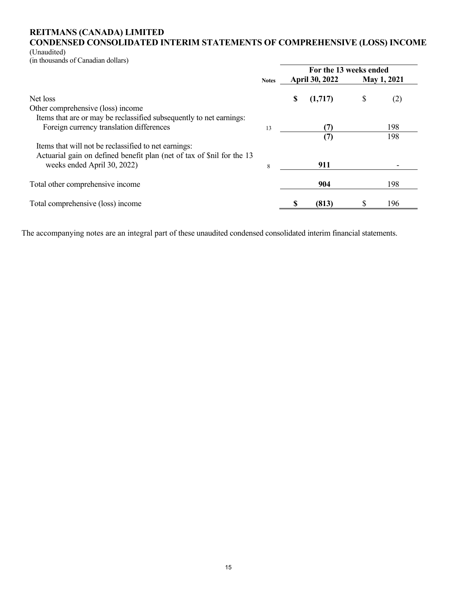## **REITMANS (CANADA) LIMITED CONDENSED CONSOLIDATED INTERIM STATEMENTS OF COMPREHENSIVE (LOSS) INCOME**

(Unaudited)

(in thousands of Canadian dollars)

|                                                                        |              |   | For the 13 weeks ended |    |                    |  |  |  |  |
|------------------------------------------------------------------------|--------------|---|------------------------|----|--------------------|--|--|--|--|
|                                                                        | <b>Notes</b> |   | <b>April 30, 2022</b>  |    | <b>May 1, 2021</b> |  |  |  |  |
| Net loss                                                               |              | S | (1,717)                | \$ | (2)                |  |  |  |  |
| Other comprehensive (loss) income                                      |              |   |                        |    |                    |  |  |  |  |
| Items that are or may be reclassified subsequently to net earnings:    |              |   |                        |    |                    |  |  |  |  |
| Foreign currency translation differences                               | 13           |   |                        |    | 198                |  |  |  |  |
|                                                                        |              |   | (7)                    |    | 198                |  |  |  |  |
| Items that will not be reclassified to net earnings:                   |              |   |                        |    |                    |  |  |  |  |
| Actuarial gain on defined benefit plan (net of tax of \$nil for the 13 |              |   |                        |    |                    |  |  |  |  |
| weeks ended April 30, 2022)                                            | 8            |   | 911                    |    |                    |  |  |  |  |
|                                                                        |              |   |                        |    |                    |  |  |  |  |
| Total other comprehensive income                                       |              |   | 904                    |    | 198                |  |  |  |  |
|                                                                        |              |   |                        |    |                    |  |  |  |  |
| Total comprehensive (loss) income                                      |              |   | (813)                  | S  | 196                |  |  |  |  |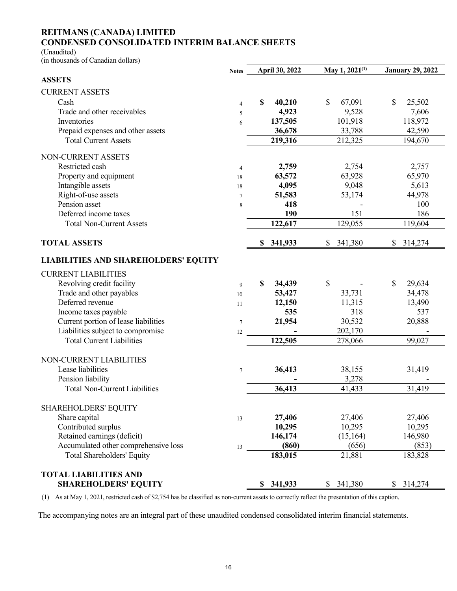#### **REITMANS (CANADA) LIMITED CONDENSED CONSOLIDATED INTERIM BALANCE SHEETS**

(Unaudited)

(in thousands of Canadian dollars)

|                                             | <b>Notes</b>   | April 30, 2022 | May 1, $2021^{(1)}$ | <b>January 29, 2022</b> |
|---------------------------------------------|----------------|----------------|---------------------|-------------------------|
| <b>ASSETS</b>                               |                |                |                     |                         |
| <b>CURRENT ASSETS</b>                       |                |                |                     |                         |
| Cash                                        | 4              | \$<br>40,210   | 67,091<br>\$        | \$<br>25,502            |
| Trade and other receivables                 | 5              | 4,923          | 9,528               | 7,606                   |
| Inventories                                 | 6              | 137,505        | 101,918             | 118,972                 |
| Prepaid expenses and other assets           |                | 36,678         | 33,788              | 42,590                  |
| <b>Total Current Assets</b>                 |                | 219,316        | 212,325             | 194,670                 |
| NON-CURRENT ASSETS                          |                |                |                     |                         |
| Restricted cash                             | $\overline{4}$ | 2,759          | 2,754               | 2,757                   |
| Property and equipment                      | 18             | 63,572         | 63,928              | 65,970                  |
| Intangible assets                           | 18             | 4,095          | 9,048               | 5,613                   |
| Right-of-use assets                         | $\overline{7}$ | 51,583         | 53,174              | 44,978                  |
| Pension asset                               | 8              | 418            |                     | 100                     |
| Deferred income taxes                       |                | 190            | 151                 | 186                     |
| <b>Total Non-Current Assets</b>             |                | 122,617        | 129,055             | 119,604                 |
| <b>TOTAL ASSETS</b>                         |                | \$ 341,933     | \$341,380           | \$314,274               |
| <b>LIABILITIES AND SHAREHOLDERS' EQUITY</b> |                |                |                     |                         |
| <b>CURRENT LIABILITIES</b>                  |                |                |                     |                         |
| Revolving credit facility                   | 9              | S<br>34,439    | \$                  | \$<br>29,634            |
| Trade and other payables                    | 10             | 53,427         | 33,731              | 34,478                  |
| Deferred revenue                            | 11             | 12,150         | 11,315              | 13,490                  |
| Income taxes payable                        |                | 535            | 318                 | 537                     |
| Current portion of lease liabilities        | $\tau$         | 21,954         | 30,532              | 20,888                  |
| Liabilities subject to compromise           | 12             |                | 202,170             |                         |
| <b>Total Current Liabilities</b>            |                | 122,505        | 278,066             | 99,027                  |
| NON-CURRENT LIABILITIES                     |                |                |                     |                         |
| Lease liabilities                           | $\overline{7}$ | 36,413         | 38,155              | 31,419                  |
| Pension liability                           |                |                | 3,278               |                         |
| <b>Total Non-Current Liabilities</b>        |                | 36,413         | 41,433              | 31,419                  |
| <b>SHAREHOLDERS' EQUITY</b>                 |                |                |                     |                         |
| Share capital                               | 13             | 27,406         | 27,406              | 27,406                  |
| Contributed surplus                         |                | 10,295         | 10,295              | 10,295                  |
| Retained earnings (deficit)                 |                | 146,174        | (15, 164)           | 146,980                 |
| Accumulated other comprehensive loss        | 13             | (860)          | (656)               | (853)                   |
| Total Shareholders' Equity                  |                | 183,015        | 21,881              | 183,828                 |
| <b>TOTAL LIABILITIES AND</b>                |                |                |                     |                         |
| <b>SHAREHOLDERS' EQUITY</b>                 |                | \$341,933      | \$341,380           | \$314,274               |

(1) As at May 1, 2021, restricted cash of \$2,754 has be classified as non-current assets to correctly reflect the presentation of this caption.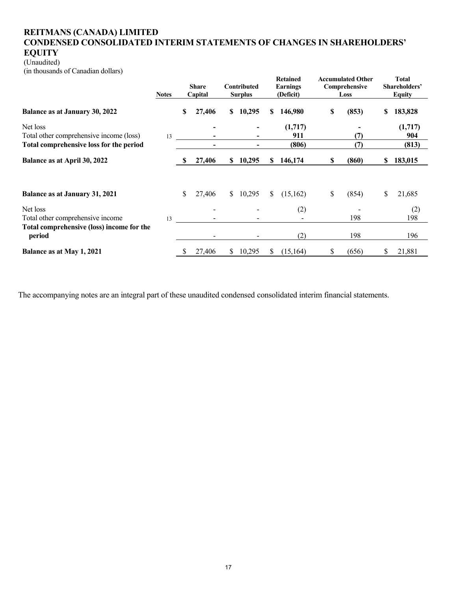# **REITMANS (CANADA) LIMITED CONDENSED CONSOLIDATED INTERIM STATEMENTS OF CHANGES IN SHAREHOLDERS' EQUITY**

# (Unaudited)

(in thousands of Canadian dollars)

|                                                                                                | <b>Notes</b> |   | <b>Share</b><br>Capital |               | Contributed<br><b>Surplus</b> |    | <b>Retained</b><br>Earnings<br>(Deficit) |    | <b>Accumulated Other</b><br>Comprehensive<br>Loss |    | <b>Total</b><br>Shareholders'<br><b>Equity</b> |
|------------------------------------------------------------------------------------------------|--------------|---|-------------------------|---------------|-------------------------------|----|------------------------------------------|----|---------------------------------------------------|----|------------------------------------------------|
| <b>Balance as at January 30, 2022</b>                                                          |              | S | 27,406                  | S.            | 10,295                        | S. | 146,980                                  | \$ | (853)                                             | S  | 183,828                                        |
| Net loss<br>Total other comprehensive income (loss)<br>Total comprehensive loss for the period | 13           |   |                         |               |                               |    | (1,717)<br>911<br>(806)                  |    | (7)<br>(7)                                        |    | (1,717)<br>904<br>(813)                        |
| Balance as at April 30, 2022                                                                   |              |   | 27,406                  |               | \$10,295                      | S. | 146,174                                  | S  | (860)                                             | S. | 183,015                                        |
| <b>Balance as at January 31, 2021</b>                                                          |              | S | 27,406                  |               | \$10,295                      | S. | (15,162)                                 | \$ | (854)                                             | \$ | 21,685                                         |
| Net loss<br>Total other comprehensive income                                                   | 13           |   |                         |               |                               |    | (2)                                      |    | 198                                               |    | (2)<br>198                                     |
| Total comprehensive (loss) income for the<br>period                                            |              |   |                         |               |                               |    | (2)                                      |    | 198                                               |    | 196                                            |
| Balance as at May 1, 2021                                                                      |              |   | 27,406                  | <sup>\$</sup> | 10,295                        | S. | (15, 164)                                | S  | (656)                                             |    | 21,881                                         |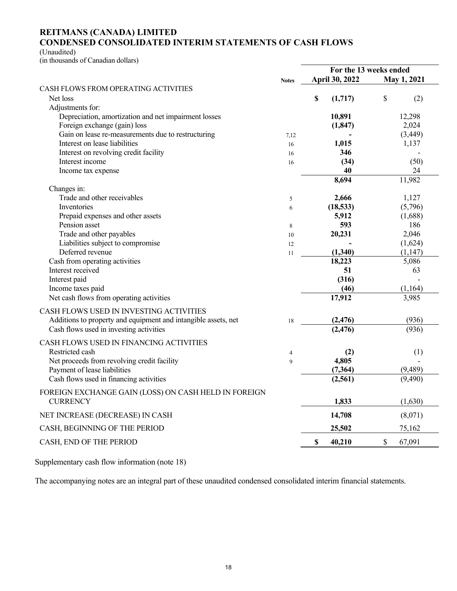#### **REITMANS (CANADA) LIMITED CONDENSED CONSOLIDATED INTERIM STATEMENTS OF CASH FLOWS**

(Unaudited)

(in thousands of Canadian dollars)

|                                                                |                | For the 13 weeks ended |                |    |             |  |  |
|----------------------------------------------------------------|----------------|------------------------|----------------|----|-------------|--|--|
|                                                                | <b>Notes</b>   |                        | April 30, 2022 |    | May 1, 2021 |  |  |
| <b>CASH FLOWS FROM OPERATING ACTIVITIES</b>                    |                |                        |                |    |             |  |  |
| Net loss                                                       |                | \$                     | (1,717)        | \$ | (2)         |  |  |
| Adjustments for:                                               |                |                        |                |    |             |  |  |
| Depreciation, amortization and net impairment losses           |                |                        | 10,891         |    | 12,298      |  |  |
| Foreign exchange (gain) loss                                   |                |                        | (1, 847)       |    | 2,024       |  |  |
| Gain on lease re-measurements due to restructuring             | 7,12           |                        |                |    | (3, 449)    |  |  |
| Interest on lease liabilities                                  | 16             |                        | 1,015          |    | 1,137       |  |  |
| Interest on revolving credit facility                          | 16             |                        | 346            |    |             |  |  |
| Interest income                                                | 16             |                        | (34)           |    | (50)        |  |  |
| Income tax expense                                             |                |                        | 40             |    | 24          |  |  |
|                                                                |                |                        | 8,694          |    | 11,982      |  |  |
| Changes in:                                                    |                |                        |                |    |             |  |  |
| Trade and other receivables                                    | 5              |                        | 2,666          |    | 1,127       |  |  |
| Inventories                                                    | 6              |                        | (18, 533)      |    | (5,796)     |  |  |
| Prepaid expenses and other assets                              |                |                        | 5,912          |    | (1,688)     |  |  |
| Pension asset                                                  | 8              |                        | 593            |    | 186         |  |  |
| Trade and other payables                                       | 10             |                        | 20,231         |    | 2,046       |  |  |
| Liabilities subject to compromise                              | 12             |                        |                |    | (1,624)     |  |  |
| Deferred revenue                                               | 11             |                        | (1,340)        |    | (1, 147)    |  |  |
| Cash from operating activities                                 |                |                        | 18,223         |    | 5,086       |  |  |
| Interest received                                              |                |                        | 51             |    | 63          |  |  |
| Interest paid                                                  |                |                        | (316)          |    |             |  |  |
| Income taxes paid                                              |                |                        | (46)           |    | (1,164)     |  |  |
| Net cash flows from operating activities                       |                |                        | 17,912         |    | 3,985       |  |  |
| CASH FLOWS USED IN INVESTING ACTIVITIES                        |                |                        |                |    |             |  |  |
| Additions to property and equipment and intangible assets, net |                |                        | (2, 476)       |    | (936)       |  |  |
| Cash flows used in investing activities                        | 18             |                        | (2, 476)       |    | (936)       |  |  |
|                                                                |                |                        |                |    |             |  |  |
| CASH FLOWS USED IN FINANCING ACTIVITIES                        |                |                        |                |    |             |  |  |
| Restricted cash                                                | $\overline{4}$ |                        | (2)            |    | (1)         |  |  |
| Net proceeds from revolving credit facility                    | 9              |                        | 4,805          |    |             |  |  |
| Payment of lease liabilities                                   |                |                        | (7, 364)       |    | (9, 489)    |  |  |
| Cash flows used in financing activities                        |                |                        | (2,561)        |    | (9,490)     |  |  |
| FOREIGN EXCHANGE GAIN (LOSS) ON CASH HELD IN FOREIGN           |                |                        |                |    |             |  |  |
| <b>CURRENCY</b>                                                |                |                        | 1,833          |    | (1,630)     |  |  |
| NET INCREASE (DECREASE) IN CASH                                |                |                        | 14,708         |    | (8,071)     |  |  |
| CASH, BEGINNING OF THE PERIOD                                  |                |                        | 25,502         |    | 75,162      |  |  |
| CASH, END OF THE PERIOD                                        |                | \$                     | 40,210         | \$ | 67,091      |  |  |
|                                                                |                |                        |                |    |             |  |  |

Supplementary cash flow information (note 18)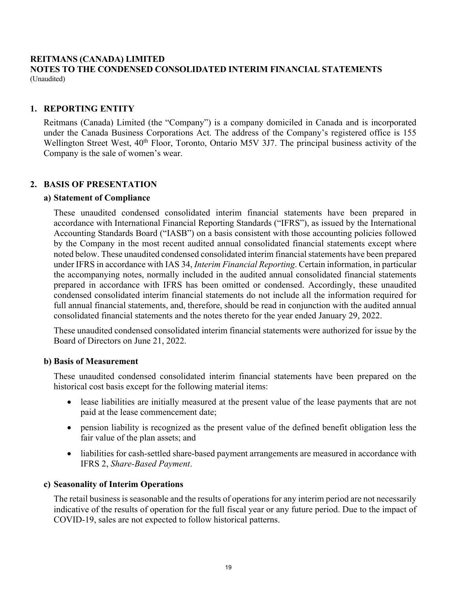#### **REITMANS (CANADA) LIMITED NOTES TO THE CONDENSED CONSOLIDATED INTERIM FINANCIAL STATEMENTS**  (Unaudited)

# **1. REPORTING ENTITY**

Reitmans (Canada) Limited (the "Company") is a company domiciled in Canada and is incorporated under the Canada Business Corporations Act. The address of the Company's registered office is 155 Wellington Street West, 40<sup>th</sup> Floor, Toronto, Ontario M5V 3J7. The principal business activity of the Company is the sale of women's wear.

### **2. BASIS OF PRESENTATION**

#### **a) Statement of Compliance**

 These unaudited condensed consolidated interim financial statements have been prepared in accordance with International Financial Reporting Standards ("IFRS"), as issued by the International Accounting Standards Board ("IASB") on a basis consistent with those accounting policies followed by the Company in the most recent audited annual consolidated financial statements except where noted below. These unaudited condensed consolidated interim financial statements have been prepared under IFRS in accordance with IAS 34, *Interim Financial Reporting*. Certain information, in particular the accompanying notes, normally included in the audited annual consolidated financial statements prepared in accordance with IFRS has been omitted or condensed. Accordingly, these unaudited condensed consolidated interim financial statements do not include all the information required for full annual financial statements, and, therefore, should be read in conjunction with the audited annual consolidated financial statements and the notes thereto for the year ended January 29, 2022.

 These unaudited condensed consolidated interim financial statements were authorized for issue by the Board of Directors on June 21, 2022.

#### **b) Basis of Measurement**

 These unaudited condensed consolidated interim financial statements have been prepared on the historical cost basis except for the following material items:

- lease liabilities are initially measured at the present value of the lease payments that are not paid at the lease commencement date;
- pension liability is recognized as the present value of the defined benefit obligation less the fair value of the plan assets; and
- liabilities for cash-settled share-based payment arrangements are measured in accordance with IFRS 2, *Share-Based Payment*.

#### **c) Seasonality of Interim Operations**

The retail business is seasonable and the results of operations for any interim period are not necessarily indicative of the results of operation for the full fiscal year or any future period. Due to the impact of COVID-19, sales are not expected to follow historical patterns.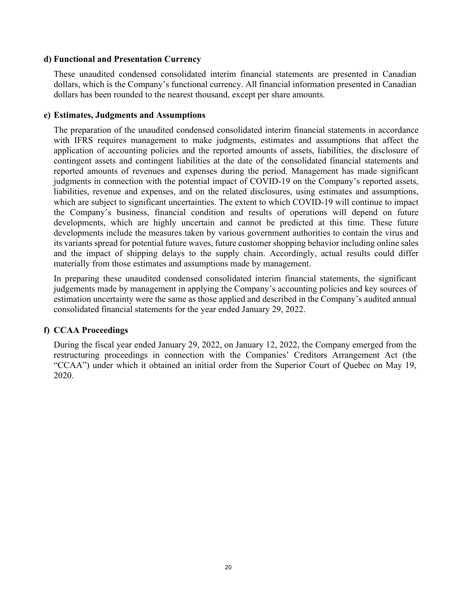#### **d) Functional and Presentation Currency**

 These unaudited condensed consolidated interim financial statements are presented in Canadian dollars, which is the Company's functional currency. All financial information presented in Canadian dollars has been rounded to the nearest thousand, except per share amounts.

#### **e) Estimates, Judgments and Assumptions**

The preparation of the unaudited condensed consolidated interim financial statements in accordance with IFRS requires management to make judgments, estimates and assumptions that affect the application of accounting policies and the reported amounts of assets, liabilities, the disclosure of contingent assets and contingent liabilities at the date of the consolidated financial statements and reported amounts of revenues and expenses during the period. Management has made significant judgments in connection with the potential impact of COVID-19 on the Company's reported assets, liabilities, revenue and expenses, and on the related disclosures, using estimates and assumptions, which are subject to significant uncertainties. The extent to which COVID-19 will continue to impact the Company's business, financial condition and results of operations will depend on future developments, which are highly uncertain and cannot be predicted at this time. These future developments include the measures taken by various government authorities to contain the virus and its variants spread for potential future waves, future customer shopping behavior including online sales and the impact of shipping delays to the supply chain. Accordingly, actual results could differ materially from those estimates and assumptions made by management.

 In preparing these unaudited condensed consolidated interim financial statements, the significant judgements made by management in applying the Company's accounting policies and key sources of estimation uncertainty were the same as those applied and described in the Company's audited annual consolidated financial statements for the year ended January 29, 2022.

# **f) CCAA Proceedings**

During the fiscal year ended January 29, 2022, on January 12, 2022, the Company emerged from the restructuring proceedings in connection with the Companies' Creditors Arrangement Act (the "CCAA") under which it obtained an initial order from the Superior Court of Quebec on May 19, 2020.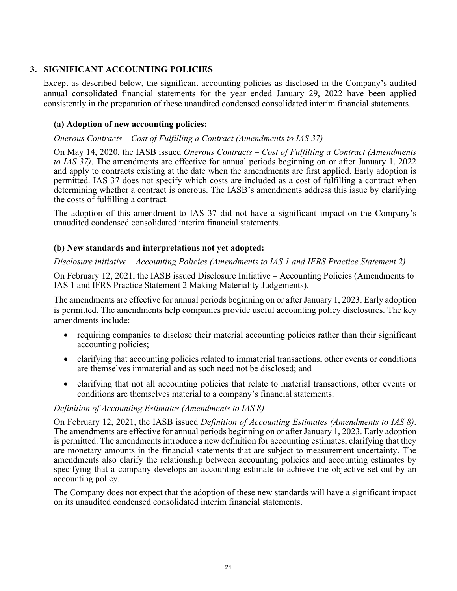# **3. SIGNIFICANT ACCOUNTING POLICIES**

 Except as described below, the significant accounting policies as disclosed in the Company's audited annual consolidated financial statements for the year ended January 29, 2022 have been applied consistently in the preparation of these unaudited condensed consolidated interim financial statements.

# **(a) Adoption of new accounting policies:**

### *Onerous Contracts – Cost of Fulfilling a Contract (Amendments to IAS 37)*

On May 14, 2020, the IASB issued *Onerous Contracts – Cost of Fulfilling a Contract (Amendments to IAS 37)*. The amendments are effective for annual periods beginning on or after January 1, 2022 and apply to contracts existing at the date when the amendments are first applied. Early adoption is permitted. IAS 37 does not specify which costs are included as a cost of fulfilling a contract when determining whether a contract is onerous. The IASB's amendments address this issue by clarifying the costs of fulfilling a contract.

The adoption of this amendment to IAS 37 did not have a significant impact on the Company's unaudited condensed consolidated interim financial statements.

### **(b) New standards and interpretations not yet adopted:**

#### *Disclosure initiative – Accounting Policies (Amendments to IAS 1 and IFRS Practice Statement 2)*

On February 12, 2021, the IASB issued Disclosure Initiative – Accounting Policies (Amendments to IAS 1 and IFRS Practice Statement 2 Making Materiality Judgements).

The amendments are effective for annual periods beginning on or after January 1, 2023. Early adoption is permitted. The amendments help companies provide useful accounting policy disclosures. The key amendments include:

- requiring companies to disclose their material accounting policies rather than their significant accounting policies;
- clarifying that accounting policies related to immaterial transactions, other events or conditions are themselves immaterial and as such need not be disclosed; and
- clarifying that not all accounting policies that relate to material transactions, other events or conditions are themselves material to a company's financial statements.

#### *Definition of Accounting Estimates (Amendments to IAS 8)*

On February 12, 2021, the IASB issued *Definition of Accounting Estimates (Amendments to IAS 8)*. The amendments are effective for annual periods beginning on or after January 1, 2023. Early adoption is permitted. The amendments introduce a new definition for accounting estimates, clarifying that they are monetary amounts in the financial statements that are subject to measurement uncertainty. The amendments also clarify the relationship between accounting policies and accounting estimates by specifying that a company develops an accounting estimate to achieve the objective set out by an accounting policy.

The Company does not expect that the adoption of these new standards will have a significant impact on its unaudited condensed consolidated interim financial statements.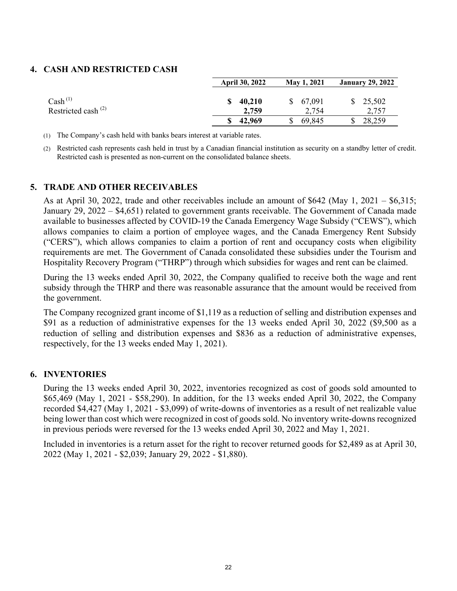# **4. CASH AND RESTRICTED CASH**

|                                                      | <b>April 30, 2022</b> | May 1, 2021           | <b>January 29, 2022</b> |
|------------------------------------------------------|-----------------------|-----------------------|-------------------------|
| $\operatorname{Cash}^{(1)}$<br>Restricted cash $(2)$ | 40.210<br>2,759       | 67,091<br>S.<br>2,754 | \$25,502<br>2,757       |
|                                                      | 42,969                | 69,845                | 28,259                  |

(1) The Company's cash held with banks bears interest at variable rates.

(2) Restricted cash represents cash held in trust by a Canadian financial institution as security on a standby letter of credit. Restricted cash is presented as non-current on the consolidated balance sheets.

### **5. TRADE AND OTHER RECEIVABLES**

As at April 30, 2022, trade and other receivables include an amount of \$642 (May 1, 2021 – \$6,315; January 29, 2022 – \$4,651) related to government grants receivable. The Government of Canada made available to businesses affected by COVID-19 the Canada Emergency Wage Subsidy ("CEWS"), which allows companies to claim a portion of employee wages, and the Canada Emergency Rent Subsidy ("CERS"), which allows companies to claim a portion of rent and occupancy costs when eligibility requirements are met. The Government of Canada consolidated these subsidies under the Tourism and Hospitality Recovery Program ("THRP") through which subsidies for wages and rent can be claimed.

During the 13 weeks ended April 30, 2022, the Company qualified to receive both the wage and rent subsidy through the THRP and there was reasonable assurance that the amount would be received from the government.

The Company recognized grant income of \$1,119 as a reduction of selling and distribution expenses and \$91 as a reduction of administrative expenses for the 13 weeks ended April 30, 2022 (\$9,500 as a reduction of selling and distribution expenses and \$836 as a reduction of administrative expenses, respectively, for the 13 weeks ended May 1, 2021).

# **6. INVENTORIES**

During the 13 weeks ended April 30, 2022, inventories recognized as cost of goods sold amounted to \$65,469 (May 1, 2021 - \$58,290). In addition, for the 13 weeks ended April 30, 2022, the Company recorded \$4,427 (May 1, 2021 - \$3,099) of write-downs of inventories as a result of net realizable value being lower than cost which were recognized in cost of goods sold. No inventory write-downs recognized in previous periods were reversed for the 13 weeks ended April 30, 2022 and May 1, 2021.

Included in inventories is a return asset for the right to recover returned goods for \$2,489 as at April 30, 2022 (May 1, 2021 - \$2,039; January 29, 2022 - \$1,880).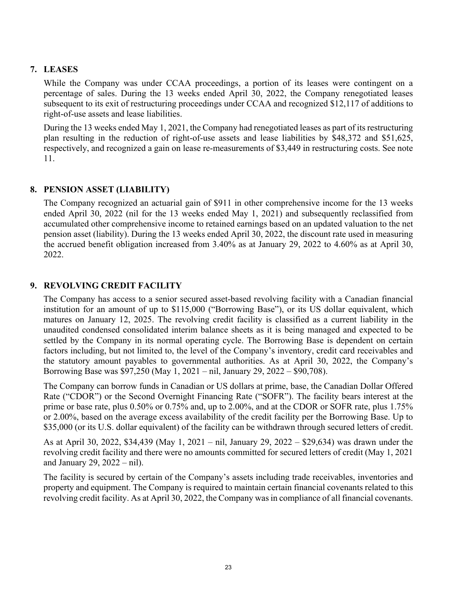# **7. LEASES**

While the Company was under CCAA proceedings, a portion of its leases were contingent on a percentage of sales. During the 13 weeks ended April 30, 2022, the Company renegotiated leases subsequent to its exit of restructuring proceedings under CCAA and recognized \$12,117 of additions to right-of-use assets and lease liabilities.

During the 13 weeks ended May 1, 2021, the Company had renegotiated leases as part of its restructuring plan resulting in the reduction of right-of-use assets and lease liabilities by \$48,372 and \$51,625, respectively, and recognized a gain on lease re-measurements of \$3,449 in restructuring costs. See note 11.

# **8. PENSION ASSET (LIABILITY)**

The Company recognized an actuarial gain of \$911 in other comprehensive income for the 13 weeks ended April 30, 2022 (nil for the 13 weeks ended May 1, 2021) and subsequently reclassified from accumulated other comprehensive income to retained earnings based on an updated valuation to the net pension asset (liability). During the 13 weeks ended April 30, 2022, the discount rate used in measuring the accrued benefit obligation increased from 3.40% as at January 29, 2022 to 4.60% as at April 30, 2022.

# **9. REVOLVING CREDIT FACILITY**

The Company has access to a senior secured asset-based revolving facility with a Canadian financial institution for an amount of up to \$115,000 ("Borrowing Base"), or its US dollar equivalent, which matures on January 12, 2025. The revolving credit facility is classified as a current liability in the unaudited condensed consolidated interim balance sheets as it is being managed and expected to be settled by the Company in its normal operating cycle. The Borrowing Base is dependent on certain factors including, but not limited to, the level of the Company's inventory, credit card receivables and the statutory amount payables to governmental authorities. As at April 30, 2022, the Company's Borrowing Base was \$97,250 (May 1, 2021 – nil, January 29, 2022 – \$90,708).

The Company can borrow funds in Canadian or US dollars at prime, base, the Canadian Dollar Offered Rate ("CDOR") or the Second Overnight Financing Rate ("SOFR"). The facility bears interest at the prime or base rate, plus 0.50% or 0.75% and, up to 2.00%, and at the CDOR or SOFR rate, plus 1.75% or 2.00%, based on the average excess availability of the credit facility per the Borrowing Base. Up to \$35,000 (or its U.S. dollar equivalent) of the facility can be withdrawn through secured letters of credit.

As at April 30, 2022, \$34,439 (May 1, 2021 – nil, January 29, 2022 – \$29,634) was drawn under the revolving credit facility and there were no amounts committed for secured letters of credit (May 1, 2021 and January 29, 2022 – nil).

The facility is secured by certain of the Company's assets including trade receivables, inventories and property and equipment. The Company is required to maintain certain financial covenants related to this revolving credit facility. As at April 30, 2022, the Company was in compliance of all financial covenants.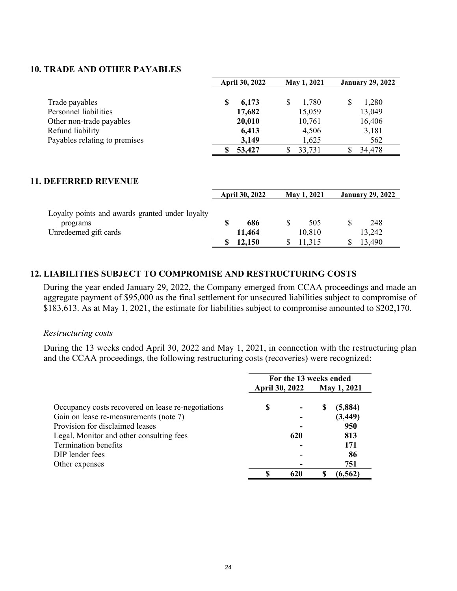#### **10. TRADE AND OTHER PAYABLES**

|                               | <b>April 30, 2022</b> | May 1, 2021 | <b>January 29, 2022</b> |
|-------------------------------|-----------------------|-------------|-------------------------|
|                               |                       |             |                         |
| Trade payables                | 6,173<br>\$           | 1,780       | 1,280<br>\$             |
| Personnel liabilities         | 17,682                | 15,059      | 13,049                  |
| Other non-trade payables      | 20,010                | 10,761      | 16,406                  |
| Refund liability              | 6,413                 | 4,506       | 3,181                   |
| Payables relating to premises | 3,149                 | 1,625       | 562                     |
|                               | 53,427                | 33,731      | 34,478<br>S             |

# **11. DEFERRED REVENUE**

|                                                                                      | <b>April 30, 2022</b> | May 1, 2021   | <b>January 29, 2022</b> |
|--------------------------------------------------------------------------------------|-----------------------|---------------|-------------------------|
| Loyalty points and awards granted under loyalty<br>programs<br>Unredeemed gift cards | 686<br>11.464         | 505<br>10,810 | 248<br>13,242           |
|                                                                                      | 12,150                | 11,315        | 13,490                  |

#### **12. LIABILITIES SUBJECT TO COMPROMISE AND RESTRUCTURING COSTS**

During the year ended January 29, 2022, the Company emerged from CCAA proceedings and made an aggregate payment of \$95,000 as the final settlement for unsecured liabilities subject to compromise of \$183,613. As at May 1, 2021, the estimate for liabilities subject to compromise amounted to \$202,170.

#### *Restructuring costs*

During the 13 weeks ended April 30, 2022 and May 1, 2021, in connection with the restructuring plan and the CCAA proceedings, the following restructuring costs (recoveries) were recognized:

|                                                    |                       | For the 13 weeks ended |   |             |
|----------------------------------------------------|-----------------------|------------------------|---|-------------|
|                                                    | <b>April 30, 2022</b> |                        |   | May 1, 2021 |
| Occupancy costs recovered on lease re-negotiations | \$                    |                        | S | (5,884)     |
| Gain on lease re-measurements (note 7)             |                       |                        |   | (3, 449)    |
| Provision for disclaimed leases                    |                       |                        |   | 950         |
| Legal, Monitor and other consulting fees           |                       | 620                    |   | 813         |
| <b>Termination benefits</b>                        |                       |                        |   | 171         |
| DIP lender fees                                    |                       |                        |   | 86          |
| Other expenses                                     |                       |                        |   | 751         |
|                                                    | S                     | 620                    | S | (6, 562)    |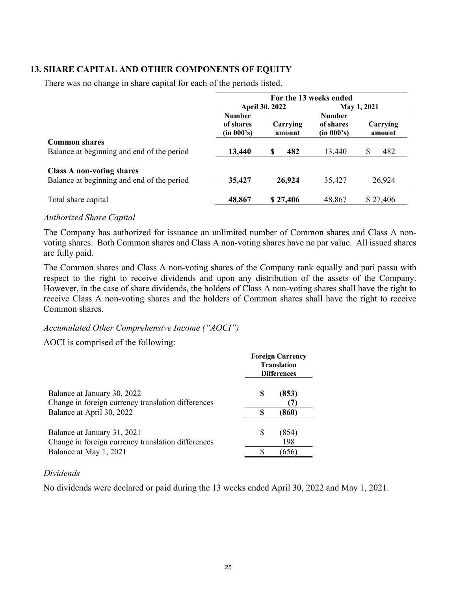# **13. SHARE CAPITAL AND OTHER COMPONENTS OF EQUITY**

There was no change in share capital for each of the periods listed.

|                                                                                | For the 13 weeks ended                   |                       |                                          |                    |  |
|--------------------------------------------------------------------------------|------------------------------------------|-----------------------|------------------------------------------|--------------------|--|
|                                                                                |                                          | <b>April 30, 2022</b> |                                          | <b>May 1, 2021</b> |  |
|                                                                                | <b>Number</b><br>of shares<br>(in 000's) | Carrying<br>amount    | <b>Number</b><br>of shares<br>(in 000's) | Carrying<br>amount |  |
| <b>Common shares</b><br>Balance at beginning and end of the period             | 13,440                                   | 482<br>S              | 13,440                                   | \$<br>482          |  |
| <b>Class A non-voting shares</b><br>Balance at beginning and end of the period | 35,427                                   | 26,924                | 35,427                                   | 26,924             |  |
| Total share capital                                                            | 48,867                                   | \$27,406              | 48,867                                   | \$27,406           |  |

#### *Authorized Share Capital*

The Company has authorized for issuance an unlimited number of Common shares and Class A nonvoting shares. Both Common shares and Class A non-voting shares have no par value. All issued shares are fully paid.

The Common shares and Class A non-voting shares of the Company rank equally and pari passu with respect to the right to receive dividends and upon any distribution of the assets of the Company. However, in the case of share dividends, the holders of Class A non-voting shares shall have the right to receive Class A non-voting shares and the holders of Common shares shall have the right to receive Common shares.

#### *Accumulated Other Comprehensive Income ("AOCI")*

AOCI is comprised of the following:

|                                                                                   | <b>Foreign Currency</b><br><b>Translation</b><br><b>Differences</b> |              |  |
|-----------------------------------------------------------------------------------|---------------------------------------------------------------------|--------------|--|
| Balance at January 30, 2022<br>Change in foreign currency translation differences | S                                                                   | (853)        |  |
| Balance at April 30, 2022                                                         |                                                                     | (860)        |  |
| Balance at January 31, 2021<br>Change in foreign currency translation differences | S                                                                   | (854)<br>198 |  |
| Balance at May 1, 2021                                                            |                                                                     | (656)        |  |

#### *Dividends*

No dividends were declared or paid during the 13 weeks ended April 30, 2022 and May 1, 2021.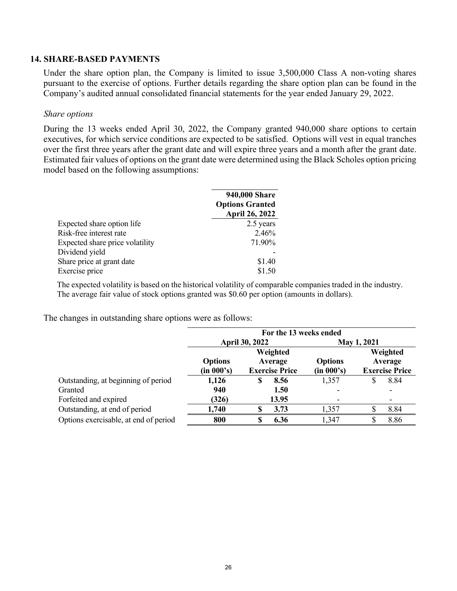#### **14. SHARE-BASED PAYMENTS**

Under the share option plan, the Company is limited to issue 3,500,000 Class A non-voting shares pursuant to the exercise of options. Further details regarding the share option plan can be found in the Company's audited annual consolidated financial statements for the year ended January 29, 2022.

#### *Share options*

During the 13 weeks ended April 30, 2022, the Company granted 940,000 share options to certain executives, for which service conditions are expected to be satisfied. Options will vest in equal tranches over the first three years after the grant date and will expire three years and a month after the grant date. Estimated fair values of options on the grant date were determined using the Black Scholes option pricing model based on the following assumptions:

|                                 | 940,000 Share          |
|---------------------------------|------------------------|
|                                 | <b>Options Granted</b> |
|                                 | April 26, 2022         |
| Expected share option life      | 2.5 years              |
| Risk-free interest rate         | 2.46%                  |
| Expected share price volatility | 71.90%                 |
| Dividend yield                  |                        |
| Share price at grant date       | \$1.40                 |
| Exercise price                  | \$1.50                 |

The expected volatility is based on the historical volatility of comparable companies traded in the industry. The average fair value of stock options granted was \$0.60 per option (amounts in dollars).

The changes in outstanding share options were as follows:

|                                       | For the 13 weeks ended       |                                              |                              |                                              |  |
|---------------------------------------|------------------------------|----------------------------------------------|------------------------------|----------------------------------------------|--|
|                                       |                              | <b>April 30, 2022</b>                        |                              | <b>May 1, 2021</b>                           |  |
|                                       | <b>Options</b><br>(in 000's) | Weighted<br>Average<br><b>Exercise Price</b> | <b>Options</b><br>(in 000's) | Weighted<br>Average<br><b>Exercise Price</b> |  |
| Outstanding, at beginning of period   | 1,126                        | 8.56<br>\$                                   | 1,357                        | 8.84<br>S                                    |  |
| Granted                               | 940                          | 1.50                                         |                              |                                              |  |
| Forfeited and expired                 | (326)                        | 13.95                                        | $\overline{\phantom{a}}$     | ۰                                            |  |
| Outstanding, at end of period         | 1,740                        | 3.73                                         | 1,357                        | 8.84                                         |  |
| Options exercisable, at end of period | 800                          | 6.36                                         | 1,347                        | 8.86                                         |  |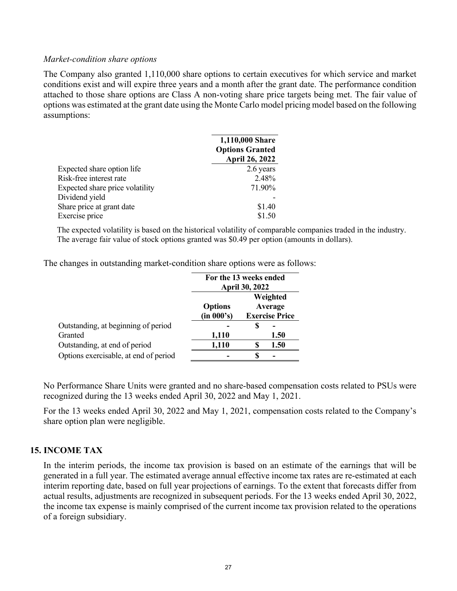#### *Market-condition share options*

The Company also granted 1,110,000 share options to certain executives for which service and market conditions exist and will expire three years and a month after the grant date. The performance condition attached to those share options are Class A non-voting share price targets being met. The fair value of options was estimated at the grant date using the Monte Carlo model pricing model based on the following assumptions:

|                                 | 1,110,000 Share<br><b>Options Granted</b><br>April 26, 2022 |
|---------------------------------|-------------------------------------------------------------|
| Expected share option life      | 2.6 years                                                   |
| Risk-free interest rate         | 2.48%                                                       |
| Expected share price volatility | 71.90%                                                      |
| Dividend yield                  |                                                             |
| Share price at grant date       | \$1.40                                                      |
| Exercise price                  | \$1.50                                                      |

The expected volatility is based on the historical volatility of comparable companies traded in the industry. The average fair value of stock options granted was \$0.49 per option (amounts in dollars).

The changes in outstanding market-condition share options were as follows:

|                                       | For the 13 weeks ended<br><b>April 30, 2022</b> |  |                                              |
|---------------------------------------|-------------------------------------------------|--|----------------------------------------------|
|                                       | <b>Options</b><br>(in 000's)                    |  | Weighted<br>Average<br><b>Exercise Price</b> |
| Outstanding, at beginning of period   |                                                 |  |                                              |
| Granted                               | 1,110                                           |  | 1.50                                         |
| Outstanding, at end of period         | 1,110                                           |  | 1.50                                         |
| Options exercisable, at end of period |                                                 |  |                                              |

No Performance Share Units were granted and no share-based compensation costs related to PSUs were recognized during the 13 weeks ended April 30, 2022 and May 1, 2021.

For the 13 weeks ended April 30, 2022 and May 1, 2021, compensation costs related to the Company's share option plan were negligible.

# **15. INCOME TAX**

In the interim periods, the income tax provision is based on an estimate of the earnings that will be generated in a full year. The estimated average annual effective income tax rates are re-estimated at each interim reporting date, based on full year projections of earnings. To the extent that forecasts differ from actual results, adjustments are recognized in subsequent periods. For the 13 weeks ended April 30, 2022, the income tax expense is mainly comprised of the current income tax provision related to the operations of a foreign subsidiary.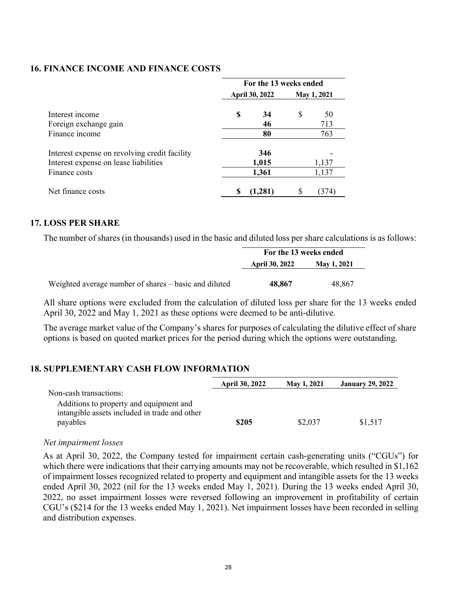#### **16. FINANCE INCOME AND FINANCE COSTS**

|                                                                                        | For the 13 weeks ended |              |                    |           |  |  |
|----------------------------------------------------------------------------------------|------------------------|--------------|--------------------|-----------|--|--|
|                                                                                        | <b>April 30, 2022</b>  |              | <b>May 1, 2021</b> |           |  |  |
| Interest income<br>Foreign exchange gain                                               | \$                     | 34<br>46     | \$                 | 50<br>713 |  |  |
| Finance income                                                                         |                        | 80           |                    | 763       |  |  |
| Interest expense on revolving credit facility<br>Interest expense on lease liabilities |                        | 346<br>1,015 |                    | 1,137     |  |  |
| Finance costs                                                                          |                        | 1,361        |                    | 1,137     |  |  |
| Net finance costs                                                                      | S                      | (1.281)      |                    | (374)     |  |  |

#### **17. LOSS PER SHARE**

The number of shares (in thousands) used in the basic and diluted loss per share calculations is as follows:

|                                                       | For the 13 weeks ended                      |        |  |
|-------------------------------------------------------|---------------------------------------------|--------|--|
|                                                       | <b>April 30, 2022</b><br><b>May 1, 2021</b> |        |  |
| Weighted average number of shares – basic and diluted | 48,867                                      | 48.867 |  |

All share options were excluded from the calculation of diluted loss per share for the 13 weeks ended April 30, 2022 and May 1, 2021 as these options were deemed to be anti-dilutive.

The average market value of the Company's shares for purposes of calculating the dilutive effect of share options is based on quoted market prices for the period during which the options were outstanding.

#### **18. SUPPLEMENTARY CASH FLOW INFORMATION**

|                                                                                          | <b>April 30, 2022</b> | <b>May 1, 2021</b> | <b>January 29, 2022</b> |
|------------------------------------------------------------------------------------------|-----------------------|--------------------|-------------------------|
| Non-cash transactions:                                                                   |                       |                    |                         |
| Additions to property and equipment and<br>intangible assets included in trade and other |                       |                    |                         |
| payables                                                                                 | \$205                 | \$2,037            | \$1,517                 |

#### *Net impairment losses*

As at April 30, 2022, the Company tested for impairment certain cash-generating units ("CGUs") for which there were indications that their carrying amounts may not be recoverable, which resulted in \$1,162 of impairment losses recognized related to property and equipment and intangible assets for the 13 weeks ended April 30, 2022 (nil for the 13 weeks ended May 1, 2021). During the 13 weeks ended April 30, 2022, no asset impairment losses were reversed following an improvement in profitability of certain CGU's (\$214 for the 13 weeks ended May 1, 2021). Net impairment losses have been recorded in selling and distribution expenses.